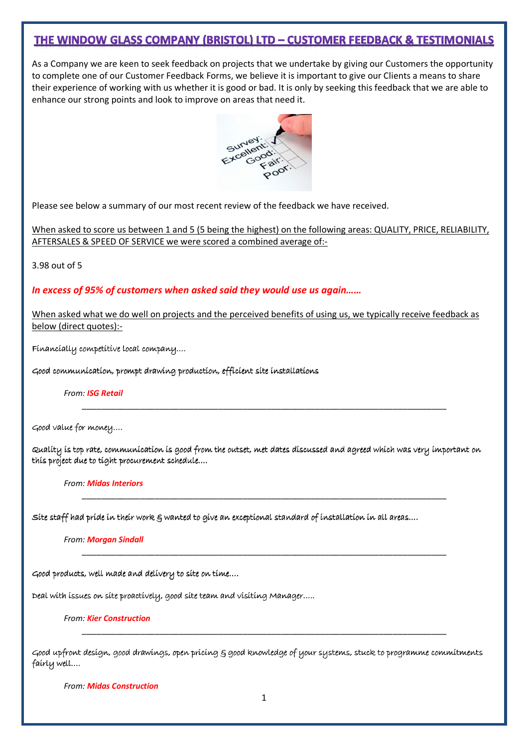# **THE WINDOW GLASS COMPANY (BRISTOL) LTD - CUSTOMER FEEDBACK & TESTIMONIALS**

As a Company we are keen to seek feedback on projects that we undertake by giving our Customers the opportunity to complete one of our Customer Feedback Forms, we believe it is important to give our Clients a means to share their experience of working with us whether it is good or bad. It is only by seeking this feedback that we are able to enhance our strong points and look to improve on areas that need it.



Please see below a summary of our most recent review of the feedback we have received.

When asked to score us between 1 and 5 (5 being the highest) on the following areas: QUALITY, PRICE, RELIABILITY, AFTERSALES & SPEED OF SERVICE we were scored a combined average of:-

3.98 out of 5

# In excess of 95% of customers when asked said they would use us again……

When asked what we do well on projects and the perceived benefits of using us, we typically receive feedback as below (direct quotes):-

 $Financially \text{ competitive local company}....$ 

Good communication, prompt drawing production, efficient site installations

From: ISG Retail

Good value for money....

Quality is top rate, communication is good from the outset, met dates discussed and agreed which was very important on this project due to tight procurement schedule….

\_\_\_\_\_\_\_\_\_\_\_\_\_\_\_\_\_\_\_\_\_\_\_\_\_\_\_\_\_\_\_\_\_\_\_\_\_\_\_\_\_\_\_\_\_\_\_\_\_\_\_\_\_\_\_\_\_\_\_\_\_\_\_\_\_\_\_\_\_\_\_\_\_\_\_

\_\_\_\_\_\_\_\_\_\_\_\_\_\_\_\_\_\_\_\_\_\_\_\_\_\_\_\_\_\_\_\_\_\_\_\_\_\_\_\_\_\_\_\_\_\_\_\_\_\_\_\_\_\_\_\_\_\_\_\_\_\_\_\_\_\_\_\_\_\_\_\_\_\_\_

\_\_\_\_\_\_\_\_\_\_\_\_\_\_\_\_\_\_\_\_\_\_\_\_\_\_\_\_\_\_\_\_\_\_\_\_\_\_\_\_\_\_\_\_\_\_\_\_\_\_\_\_\_\_\_\_\_\_\_\_\_\_\_\_\_\_\_\_\_\_\_\_\_\_\_

From: Midas Interiors

Site staff had pride in their work & wanted to give an exceptional standard of installation in all areas….

From: Morgan Sindall

Good products, well made and delivery to site on time….

Deal with issues on site proactively, good site team and visiting Manager.....

From: Kier Construction

Good upfront design, good drawings, open pricing & good knowledge of your systems, stuck to programme commitments fairly well….

\_\_\_\_\_\_\_\_\_\_\_\_\_\_\_\_\_\_\_\_\_\_\_\_\_\_\_\_\_\_\_\_\_\_\_\_\_\_\_\_\_\_\_\_\_\_\_\_\_\_\_\_\_\_\_\_\_\_\_\_\_\_\_\_\_\_\_\_\_\_\_\_\_\_\_

From: Midas Construction